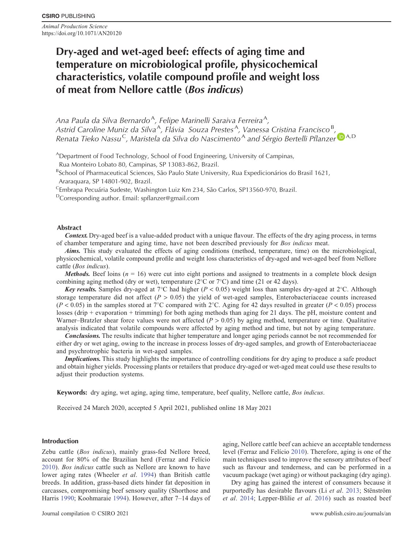*Animal Production Science* https://doi.org/10.1071/AN20120

# **Dry-aged and wet-aged beef: effects of aging time and temperature on microbiological profile, physicochemical characteristics, volatile compound profile and weight loss of meat from Nellore cattle (***Bos indicus***)**

Ana Paula da Silva Bernardo<sup>A</sup>, Felipe Marinelli Saraiva Ferreira<sup>A</sup>, Astrid Caroline Muniz da Silva<sup>A</sup>, Flávia Souza Prestes<sup>A</sup>, Vanessa Cristina Francisco<sup>B</sup>, *Renata Tieko Nassu<sup>C</sup>, Maristela da Silva do Nascimento*<sup>[A](https://orcid.org/0000-0001-8482-9569)</sup> and Sérgio Bertelli Pflanzer<sup>D</sup><sup>A,D</sup>

<sup>A</sup>Department of Food Technology, School of Food Engineering, University of Campinas,

Rua Monteiro Lobato 80, Campinas, SP 13083-862, Brazil.

<sup>B</sup>School of Pharmaceutical Sciences, São Paulo State University, Rua Expedicionários do Brasil 1621, Araraquara, SP 14801-902, Brazil.

<sup>C</sup>Embrapa Pecuária Sudeste, Washington Luiz Km 234, São Carlos, SP13560-970, Brazil.

DCorresponding author. Email: spfl[anzer@gmail.com](mailto:spflanzer@gmail.com)

## **Abstract**

*Context.* Dry-aged beef is a value-added product with a unique flavour. The effects of the dry aging process, in terms of chamber temperature and aging time, have not been described previously for *Bos indicus* meat.

*Aims.* This study evaluated the effects of aging conditions (method, temperature, time) on the microbiological, physicochemical, volatile compound profile and weight loss characteristics of dry-aged and wet-aged beef from Nellore cattle (*Bos indicus*).

*Methods.* Beef loins  $(n = 16)$  were cut into eight portions and assigned to treatments in a complete block design combining aging method (dry or wet), temperature ( $2^{\circ}$ C or  $7^{\circ}$ C) and time (21 or 42 days).

*Key results.* Samples dry-aged at  $7^{\circ}$ C had higher ( $P < 0.05$ ) weight loss than samples dry-aged at  $2^{\circ}$ C. Although storage temperature did not affect  $(P > 0.05)$  the yield of wet-aged samples, Enterobacteriaceae counts increased  $(P < 0.05)$  in the samples stored at 7<sup>o</sup>C compared with 2<sup>o</sup>C. Aging for 42 days resulted in greater (*P* < 0.05) process losses (drip + evaporation + trimming) for both aging methods than aging for 21 days. The pH, moisture content and Warner–Bratzler shear force values were not affected (*P* > 0.05) by aging method, temperature or time. Qualitative analysis indicated that volatile compounds were affected by aging method and time, but not by aging temperature.

*Conclusions.* The results indicate that higher temperature and longer aging periods cannot be not recommended for either dry or wet aging, owing to the increase in process losses of dry-aged samples, and growth of Enterobacteriaceae and psychrotrophic bacteria in wet-aged samples.

*Implications*. This study highlights the importance of controlling conditions for dry aging to produce a safe product and obtain higher yields. Processing plants or retailers that produce dry-aged or wet-aged meat could use these results to adjust their production systems.

**Keywords:** dry aging, wet aging, aging time, temperature, beef quality, Nellore cattle, *Bos indicus*.

Received 24 March 2020, accepted 5 April 2021, published online 18 May 2021

## **Introduction**

Zebu cattle (*Bos indicus*), mainly grass-fed Nellore breed, account for 80% of the Brazilian herd (Ferraz and Felício [2010\)](#page-10-0). *Bos indicus* cattle such as Nellore are known to have lower aging rates (Wheeler *et al*. [1994\)](#page-12-0) than British cattle breeds. In addition, grass-based diets hinder fat deposition in carcasses, compromising beef sensory quality (Shorthose and Harris [1990](#page-11-0); Koohmaraie [1994\)](#page-11-0). However, after 7–14 days of aging, Nellore cattle beef can achieve an acceptable tenderness level (Ferraz and Felício [2010](#page-10-0)). Therefore, aging is one of the main techniques used to improve the sensory attributes of beef such as flavour and tenderness, and can be performed in a vacuum package (wet aging) or without packaging (dry aging).

Dry aging has gained the interest of consumers because it purportedly has desirable flavours (Li *et al*. [2013;](#page-11-0) Stënström *et al*. [2014;](#page-11-0) Lepper-Blilie *et al*. [2016\)](#page-11-0) such as roasted beef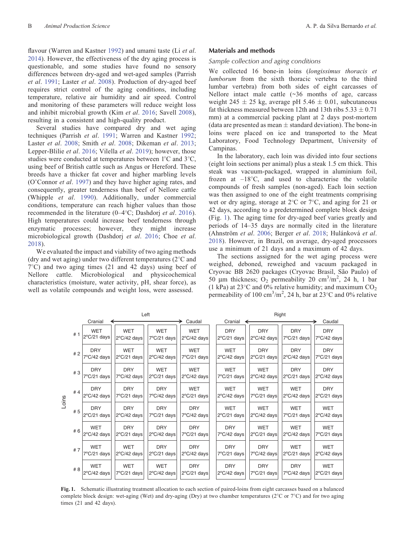<span id="page-1-0"></span>flavour (Warren and Kastner [1992\)](#page-12-0) and umami taste (Li *et al*. [2014\)](#page-11-0). However, the effectiveness of the dry aging process is questionable, and some studies have found no sensory differences between dry-aged and wet-aged samples (Parrish *et al*. [1991](#page-11-0); Laster *et al*. [2008\)](#page-11-0). Production of dry-aged beef requires strict control of the aging conditions, including temperature, relative air humidity and air speed. Control and monitoring of these parameters will reduce weight loss and inhibit microbial growth (Kim *et al*. [2016;](#page-11-0) Savell [2008](#page-11-0)), resulting in a consistent and high-quality product.

Several studies have compared dry and wet aging techniques (Parrish *et al*. [1991;](#page-11-0) Warren and Kastner [1992](#page-12-0); Laster *et al*. [2008;](#page-11-0) Smith *et al*. [2008](#page-11-0); Dikeman *et al*. [2013](#page-10-0); Lepper-Blilie *et al*. [2016;](#page-11-0) Vilella *et al*. [2019\)](#page-12-0); however, those studies were conducted at temperatures between 1°C and 3°C, using beef of British cattle such as Angus or Hereford. These breeds have a thicker fat cover and higher marbling levels (O'Connor *et al*. [1997](#page-11-0)) and they have higher aging rates, and consequently, greater tenderness than beef of Nellore cattle (Whipple *et al*. [1990](#page-12-0)). Additionally, under commercial conditions, temperature can reach higher values than those recommended in the literature (0–4 C; Dashdorj *et al*. [2016](#page-10-0)). High temperatures could increase beef tenderness through enzymatic processes; however, they might increase microbiological growth (Dashdorj *et al*. [2016](#page-10-0); Choe *et al*. [2018\)](#page-10-0).

We evaluated the impact and viability of two aging methods (dry and wet aging) under two different temperatures ( $2^{\circ}$ C and 7 C) and two aging times (21 and 42 days) using beef of Nellore cattle. Microbiological and physicochemical characteristics (moisture, water activity, pH, shear force), as well as volatile compounds and weight loss, were assessed.

# **Materials and methods**

# *Sample collection and aging conditions*

We collected 16 bone-in loins (*longissimus thoracis et lumborum* from the sixth thoracic vertebra to the third lumbar vertebra) from both sides of eight carcasses of Nellore intact male cattle (~36 months of age, carcass weight 245  $\pm$  25 kg, average pH 5.46  $\pm$  0.01, subcutaneous fat thickness measured between 12th and 13th ribs  $5.33 \pm 0.71$ mm) at a commercial packing plant at 2 days post-mortem (data are presented as mean  $\pm$  standard deviation). The bone-in loins were placed on ice and transported to the Meat Laboratory, Food Technology Department, University of Campinas.

In the laboratory, each loin was divided into four sections (eight loin sections per animal) plus a steak 1.5 cm thick. This steak was vacuum-packaged, wrapped in aluminium foil, frozen at –18 C, and used to characterise the volatile compounds of fresh samples (non-aged). Each loin section was then assigned to one of the eight treatments comprising wet or dry aging, storage at  $2^{\circ}$ C or  $7^{\circ}$ C, and aging for 21 or 42 days, according to a predetermined complete block design (Fig. 1). The aging time for dry-aged beef varies greatly and periods of 14–35 days are normally cited in the literature (Ahnström *et al*. [2006;](#page-10-0) Berger *et al*. [2018;](#page-10-0) Hulánková *et al*. [2018\)](#page-10-0). However, in Brazil, on average, dry-aged processors use a minimum of 21 days and a maximum of 42 days.

The sections assigned for the wet aging process were weighed, deboned, reweighed and vacuum packaged in Cryovac BB 2620 packages (Cryovac Brasil, São Paulo) of 50 µm thickness;  $O_2$  permeability 20 cm<sup>3</sup>/m<sup>2</sup>, 24 h, 1 bar (1 kPa) at 23 $\degree$ C and 0% relative humidity; and maximum CO<sub>2</sub> permeability of 100 cm<sup>3</sup>/m<sup>2</sup>, 24 h, bar at 23 °C and 0% relative

|       |     |                                     |                                     | Left                                |                                     |                                     | Right                               |                                     |                                     |
|-------|-----|-------------------------------------|-------------------------------------|-------------------------------------|-------------------------------------|-------------------------------------|-------------------------------------|-------------------------------------|-------------------------------------|
|       |     | Cranial                             |                                     |                                     | Caudal                              | Cranial                             |                                     |                                     | Caudal                              |
|       | #1  | <b>WET</b><br>2°C/21 days           | <b>WET</b><br>$2^{\circ}$ C/42 days | <b>WET</b><br>$7^{\circ}$ C/21 days | <b>WET</b><br>$2^{\circ}$ C/42 days | <b>DRY</b><br>$2^{\circ}$ C/21 days | <b>DRY</b><br>$2^{\circ}C/42$ days  | <b>DRY</b><br>$7^{\circ}$ C/21 days | <b>DRY</b><br>$7^{\circ}$ C/42 days |
|       | #2  | <b>DRY</b><br>7°C/42 days           | <b>WET</b><br>$2^{\circ}$ C/21 days | <b>WET</b><br>2°C/42 days           | <b>WET</b><br>7°C/21 days           | <b>WET</b><br>$2^{\circ}$ C/42 days | <b>DRY</b><br>$2^{\circ}$ C/21 days | <b>DRY</b><br>$2^{\circ}$ C/42 days | <b>DRY</b><br>$7^{\circ}$ C/21 days |
|       | #3  | <b>DRY</b><br>7°C/21 days           | <b>DRY</b><br>$7^{\circ}$ C/42 days | <b>WET</b><br>$2^{\circ}$ C/21 days | WET<br>$2^{\circ}$ C/42 days        | <b>WET</b><br>$7^{\circ}$ C/21 days | <b>WET</b><br>$2^{\circ}$ C/42 days | <b>DRY</b><br>$2^{\circ}$ C/21 days | <b>DRY</b><br>$2^{\circ}C/42$ days  |
| Loins | #4  | <b>DRY</b><br>$2^{\circ}$ C/42 days | <b>DRY</b><br>$7^{\circ}$ C/21 days | <b>DRY</b><br>$7^{\circ}$ C/42 days | <b>WET</b><br>$2^{\circ}$ C/21 days | <b>WET</b><br>$2^{\circ}$ C/42 days | <b>WET</b><br>7°C/21 days           | <b>WET</b><br>$2^{\circ}$ C/42 days | <b>DRY</b><br>$2^{\circ}$ C/21 days |
|       | #5  | <b>DRY</b><br>$2^{\circ}$ C/21 days | <b>DRY</b><br>$2^{\circ}$ C/42 days | <b>DRY</b><br>$7^{\circ}$ C/21 days | <b>DRY</b><br>7°C/42 days           | <b>WET</b><br>$2^{\circ}$ C/21 days | <b>WET</b><br>$2^{\circ}$ C/42 days | <b>WET</b><br>$7^{\circ}$ C/21 days | <b>WET</b><br>$2^{\circ}$ C/42 days |
|       | # 6 | <b>WET</b><br>$2^{\circ}$ C/42 days | <b>DRY</b><br>$2^{\circ}$ C/21 days | <b>DRY</b><br>$2^{\circ}C/42$ days  | <b>DRY</b><br>$7^{\circ}$ C/21 days | <b>DRY</b><br>$7^{\circ}$ C/42 days | <b>WET</b><br>$2^{\circ}$ C/21 days | <b>WET</b><br>$2^{\circ}$ C/42 days | <b>WET</b><br>$7^{\circ}$ C/21 days |
|       | #7  | <b>WET</b><br>7°C/21 days           | <b>WET</b><br>$2^{\circ}$ C/42 days | <b>DRY</b><br>$2^{\circ}$ C/21 days | <b>DRY</b><br>$2^{\circ}$ C/42 days | <b>DRY</b><br>$7^{\circ}$ C/21 days | <b>DRY</b><br>7°C/42 days           | <b>WET</b><br>$2^{\circ}$ C/21 days | <b>WET</b><br>$2^{\circ}$ C/42 days |
|       | # 8 | <b>WET</b><br>$2^{\circ}$ C/42 days | <b>WET</b><br>$7^{\circ}$ C/21 days | <b>WET</b><br>$2^{\circ}$ C/42 days | <b>DRY</b><br>$2^{\circ}$ C/21 days | <b>DRY</b><br>$2^{\circ}$ C/42 days | <b>DRY</b><br>7°C/21 days           | <b>DRY</b><br>$7^{\circ}$ C/42 days | <b>WET</b><br>$2^{\circ}$ C/21 days |

**Fig. 1.** Schematic illustrating treatment allocation to each section of paired-loins from eight carcasses based on a balanced complete block design: wet-aging (Wet) and dry-aging (Dry) at two chamber temperatures ( $2^{\circ}$ C or  $7^{\circ}$ C) and for two aging times (21 and 42 days).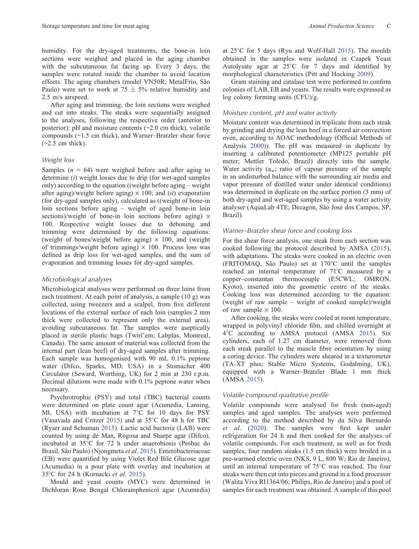humidity. For the dry-aged treatments, the bone-in loin sections were weighed and placed in the aging chamber with the subcutaneous fat facing up. Every 3 days, the samples were rotated inside the chamber to avoid location effects. The aging chambers (model VN50R; MetalFrio, São Paulo) were set to work at  $75 \pm 5\%$  relative humidity and 2.5 m/s airspeed.

After aging and trimming, the loin sections were weighed and cut into steaks. The steaks were sequentially assigned to the analyses, following the respective order (anterior to posterior):  $pH$  and moisture contents  $(\sim 2.0 \text{ cm thick})$ , volatile compounds (~1.5 cm thick), and Warner–Bratzler shear force  $(-2.5 \text{ cm thick}).$ 

## *Weight loss*

Samples  $(n = 64)$  were weighed before and after aging to determine (*i*) weight losses due to drip (for wet-aged samples only) according to the equation ((weight before aging – weight after aging)/weight before aging)  $\times$  100; and *(ii)* evaporation (for dry-aged samples only), calculated as ((weight of bone-in loin sections before aging – weight of aged bone-in loin sections)/weight of bone-in loin sections before aging)  $\times$ 100. Respective weight losses due to deboning and trimming were determined by the following equations: (weight of bones/weight before aging)  $\times$  100, and (weight of trimmings/weight before aging)  $\times$  100. Process loss was defined as drip loss for wet-aged samples, and the sum of evaporation and trimming losses for dry-aged samples.

## *Microbiological analyses*

Microbiological analyses were performed on three loins from each treatment. At each point of analysis, a sample (10 g) was collected, using tweezers and a scalpel, from five different locations of the external surface of each loin (samples 2 mm thick were collected to represent only the external area), avoiding subcutaneous fat. The samples were aseptically placed in sterile plastic bags (Twirl'em; Labplas, Montreal, Canada). The same amount of material was collected from the internal part (lean beef) of dry-aged samples after trimming. Each sample was homogenised with 90 mL 0.1% peptone water (Difco, Sparks, MD, USA) in a Stomacher 400 Circulator (Seward, Worthing, UK) for 2 min at 230 r.p.m. Decimal dilutions were made with 0.1% peptone water when necessary.

Psychrotrophic (PSY) and total (TBC) bacterial counts were determined on plate count agar (Acumedia, Lansing, MI, USA) with incubation at 7 C for 10 days for PSY (Vasavada and Critzer [2015\)](#page-12-0) and at 35 C for 48 h for TBC (Ryser and Schuman [2015](#page-11-0)). Lactic acid bacteria (LAB) were counted by using de Man, Rogosa and Sharpe agar (Difco), incubated at 35 C for 72 h under anaerobiosis (Probac do Brasil, São Paulo) (Njongmeta *et al*. [2015\)](#page-11-0). Enterobacteriaceae (EB) were quantified by using Violet Red Bile Glucose agar (Acumedia) in a pour plate with overlay and incubation at 35 C for 24 h (Kornacki *et al.* [2015\)](#page-11-0).

Mould and yeast counts (MYC) were determined in Dichloran Rose Bengal Chloramphenicol agar (Acumedia)

at 25 C for 5 days (Ryu and Wolf-Hall [2015](#page-11-0)). The moulds obtained in the samples were isolated in Czapek Yeast Autolysate agar at 25 C for 7 days and identified by morphological characteristics (Pitt and Hocking [2009\)](#page-11-0).

Gram staining and catalase test were performed to confirm colonies of LAB, EB and yeasts. The results were expressed as log colony forming units (CFU)/g.

# *Moisture content, pH and water activity*

Moisture content was determined in triplicate from each steak by grinding and drying the lean beef in a forced air convection oven, according to AOAC methodology (Official Methods of Analysis [2000](#page-10-0))). The pH was measured in duplicate by inserting a calibrated potentiometer (MP125 portable pH meter; Mettler Toledo, Brazil) directly into the sample. Water activity  $(a_w; \text{ ratio of vapour pressure of the sample})$ in an undisturbed balance with the surrounding air media and vapor pressure of distilled water under identical conditions) was determined in duplicate on the surface portion (3 mm) of both dry-aged and wet-aged samples by using a water activity analyser (AquaLab 4TE; Decagon, São José dos Campos, SP, Brazil).

# *Warner–Bratzler shear force and cooking loss*

For the shear force analysis, one steak from each section was cooked following the protocol described by AMSA ([2015](#page-10-0)), with adaptations. The steaks were cooked in an electric oven (FRITOMAQ, São Paulo) set at 170 C until the samples reached an internal temperature of 71 C measured by a copper–constantan thermocouple (E5CWL; OMRON, Kyoto), inserted into the geometric centre of the steaks. Cooking loss was determined according to the equation: (weight of raw sample – weight of cooked sample)/weight of raw sample  $\times$  100.

After cooking, the steaks were cooled at room temperature, wrapped in polyvinyl chloride film, and chilled overnight at 4 C according to AMSA protocol (AMSA [2015\)](#page-10-0). Six cylinders, each of 1.27 cm diameter, were removed from each steak parallel to the muscle fibre orientation by using a coring device. The cylinders were sheared in a texturometer (TA-XT plus; Stable Micro Systems, Godalming, UK), equipped with a Warner–Bratzler Blade 1 mm thick (AMSA [2015\)](#page-10-0).

## *Volatile compound qualitative profile*

Volatile compounds were analysed for fresh (non-aged) samples and aged samples. The analyses were performed according to the method described by da Silva Bernardo *et al*. ([2020\)](#page-10-0). The samples were first kept under refrigeration for 24 h and then cooked for the analyses of volatile compounds. For each treatment, as well as for fresh samples, four random steaks (1.5 cm thick) were broiled in a pre-warmed electric oven (NKS, 9 L, 800 W; Rio de Janeiro), until an internal temperature of 75 C was reached. The four steaks were then cut into pieces and ground in a food processor (Walita Viva RI1364/06; Philips, Rio de Janeiro) and a pool of samples for each treatment was obtained. A sample of this pool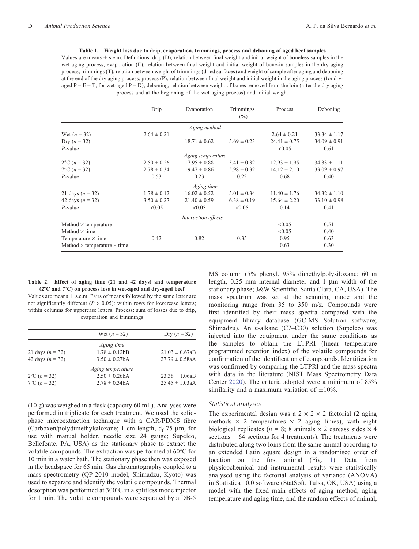<span id="page-3-0"></span>**Table 1. Weight loss due to drip, evaporation, trimmings, process and deboning of aged beef samples** Values are means  $\pm$  s.e.m. Definitions: drip (D), relation between final weight and initial weight of boneless samples in the wet aging process; evaporation (E), relation between final weight and initial weight of bone-in samples in the dry aging process; trimmings (T), relation between weight of trimmings (dried surfaces) and weight of sample after aging and deboning at the end of the dry aging process; process (P), relation between final weight and initial weight in the aging process (for dryaged  $P = E + T$ ; for wet-aged  $P = D$ ); deboning, relation between weight of bones removed from the loin (after the dry aging process and at the beginning of the wet aging process) and initial weight

|                                           | Drip            | Evaporation         | Trimmings       | Process          | Deboning         |
|-------------------------------------------|-----------------|---------------------|-----------------|------------------|------------------|
|                                           |                 |                     | $(\%)$          |                  |                  |
|                                           |                 | Aging method        |                 |                  |                  |
| Wet $(n = 32)$                            | $2.64 \pm 0.21$ |                     |                 | $2.64 \pm 0.21$  | $33.34 \pm 1.17$ |
| Dry $(n = 32)$                            |                 | $18.71 \pm 0.62$    | $5.69 \pm 0.23$ | $24.41 \pm 0.75$ | $34.09 \pm 0.91$ |
| $P$ -value                                |                 |                     |                 | < 0.05           | 0.61             |
|                                           |                 | Aging temperature   |                 |                  |                  |
| $2^{\circ}C(n=32)$                        | $2.50 \pm 0.26$ | $17.95 \pm 0.88$    | $5.41 \pm 0.32$ | $12.93 \pm 1.95$ | $34.33 \pm 1.11$ |
| $7^{\circ}$ C ( <i>n</i> = 32)            | $2.78 \pm 0.34$ | $19.47 \pm 0.86$    | $5.98 \pm 0.32$ | $14.12 \pm 2.10$ | $33.09 \pm 0.97$ |
| $P$ -value                                | 0.53            | 0.23                | 0.22            | 0.68             | 0.40             |
|                                           |                 | Aging time          |                 |                  |                  |
| 21 days $(n = 32)$                        | $1.78 \pm 0.12$ | $16.02 \pm 0.52$    | $5.01 \pm 0.34$ | $11.40 \pm 1.76$ | $34.32 \pm 1.10$ |
| 42 days $(n = 32)$                        | $3.50 \pm 0.27$ | $21.40 \pm 0.59$    | $6.38 \pm 0.19$ | $15.64 \pm 2.20$ | $33.10 \pm 0.98$ |
| $P$ -value                                | < 0.05          | < 0.05              | < 0.05          | 0.14             | 0.41             |
|                                           |                 | Interaction effects |                 |                  |                  |
| Method $\times$ temperature               |                 |                     |                 | < 0.05           | 0.51             |
| Method $\times$ time                      |                 |                     |                 | < 0.05           | 0.40             |
| Temperature $\times$ time                 | 0.42            | 0.82                | 0.35            | 0.95             | 0.63             |
| Method $\times$ temperature $\times$ time |                 |                     |                 | 0.63             | 0.30             |

### **Table 2. Effect of aging time (21 and 42 days) and temperature (2**8**C and 7**8**C) on process loss in wet-aged and dry-aged beef**

Values are means  $\pm$  s.e.m. Pairs of means followed by the same letter are not significantly different  $(P > 0.05)$ : within rows for lowercase letters; within columns for uppercase letters. Process: sum of losses due to drip, evaporation and trimmings

|                                | Wet $(n = 32)$     | Dry $(n = 32)$      |
|--------------------------------|--------------------|---------------------|
|                                | Aging time         |                     |
| 21 days $(n = 32)$             | $1.78 \pm 0.12bB$  | $21.03 \pm 0.67$ aB |
| 42 days $(n = 32)$             | $3.50 \pm 0.27$ bA | $27.79 \pm 0.58$ aA |
|                                | Aging temperature  |                     |
| $2^{\circ}$ C ( <i>n</i> = 32) | $2.50 \pm 0.26h$ A | $23.36 \pm 1.06aB$  |
| $7^{\circ}$ C (n = 32)         | $2.78 \pm 0.34$ bA | $25.45 \pm 1.03aA$  |

(10 g) was weighed in a flask (capacity 60 mL). Analyses were performed in triplicate for each treatment. We used the solidphase microextraction technique with a CAR/PDMS fibre (Carboxen/polydimethylsiloxane; 1 cm length,  $d_f$  75  $\mu$ m, for use with manual holder, needle size 24 gauge; Supelco, Bellefonte, PA, USA) as the stationary phase to extract the volatile compounds. The extraction was performed at 60 C for 10 min in a water bath. The stationary phase then was exposed in the headspace for 65 min. Gas chromatography coupled to a mass spectrometry (QP-2010 model; Shimadzu, Kyoto) was used to separate and identify the volatile compounds. Thermal desorption was performed at 300 C in a splitless mode injector for 1 min. The volatile compounds were separated by a DB-5

MS column (5% phenyl, 95% dimethylpolysiloxane; 60 m length,  $0.25$  mm internal diameter and 1  $\mu$ m width of the stationary phase; J&W Scientific, Santa Clara, CA, USA). The mass spectrum was set at the scanning mode and the monitoring range from 35 to 350 m/z. Compounds were first identified by their mass spectra compared with the equipment library database (GC-MS Solution software; Shimadzu). An *n*-alkane (C7–C30) solution (Supelco) was injected into the equipment under the same conditions as the samples to obtain the LTPRI (linear temperature programmed retention index) of the volatile compounds for confirmation of the identification of compounds. Identification was confirmed by comparing the LTPRI and the mass spectra with data in the literature (NIST Mass Spectrometry Data Center [2020\)](#page-11-0). The criteria adopted were a minimum of 85% similarity and a maximum variation of  $\pm 10\%$ .

# *Statistical analyses*

The experimental design was a  $2 \times 2 \times 2$  factorial (2 aging methods  $\times$  2 temperatures  $\times$  2 aging times), with eight biological replicates ( $n = 8$ ; 8 animals  $\times$  2 carcass sides  $\times$  4  $s$  sections = 64 sections for 4 treatments). The treatments were distributed along two loins from the same animal according to an extended Latin square design in a randomised order of location on the first animal (Fig. [1](#page-1-0)). Data from physicochemical and instrumental results were statistically analysed using the factorial analysis of variance (ANOVA) in Statistica 10.0 software (StatSoft, Tulsa, OK, USA) using a model with the fixed main effects of aging method, aging temperature and aging time, and the random effects of animal,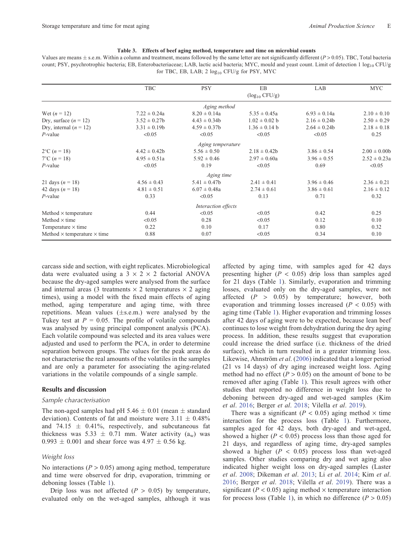#### **Table 3. Effects of beef aging method, temperature and time on microbial counts**

<span id="page-4-0"></span>Values are means  $\pm$  s.e.m. Within a column and treatment, means followed by the same letter are not significantly different ( $P$  > 0.05). TBC, Total bacteria count; PSY, psychrotrophic bacteria; EB, Enterobacteriaceae; LAB, lactic acid bacteria; MYC, mould and yeast count. Limit of detection 1 log<sub>10</sub> CFU/g for TBC, EB, LAB; 2  $log_{10}$  CFU/g for PSY, MYC

|                                           | <b>TBC</b>       | <b>PSY</b>          | EB                  | LAB              | <b>MYC</b>       |
|-------------------------------------------|------------------|---------------------|---------------------|------------------|------------------|
|                                           |                  |                     | $(\log_{10} CFU/g)$ |                  |                  |
|                                           |                  | Aging method        |                     |                  |                  |
| Wet $(n = 12)$                            | $7.22 \pm 0.24a$ | $8.20 \pm 0.14a$    | $5.35 \pm 0.45a$    | $6.93 \pm 0.14a$ | $2.10 \pm 0.10$  |
| Dry, surface $(n = 12)$                   | $3.52 \pm 0.27$  | $4.43 \pm 0.34b$    | $1.02 \pm 0.02$ b   | $2.16 \pm 0.24b$ | $2.50 \pm 0.29$  |
| Dry, internal $(n = 12)$                  | $3.31 \pm 0.19b$ | $4.59 \pm 0.37$ b   | $1.36 \pm 0.14$ b   | $2.64 \pm 0.24b$ | $2.18 \pm 0.18$  |
| $P$ -value                                | < 0.05           | < 0.05              | < 0.05              | < 0.05           | 0.25             |
|                                           |                  | Aging temperature   |                     |                  |                  |
| $2^{\circ}C(n=18)$                        | $4.42 \pm 0.42b$ | $5.56 \pm 0.50$     | $2.18 \pm 0.42b$    | $3.86 \pm 0.54$  | $2.00 \pm 0.00$  |
| $7^{\circ}$ C ( <i>n</i> = 18)            | $4.95 \pm 0.51a$ | $5.92 \pm 0.46$     | $2.97 \pm 0.60a$    | $3.96 \pm 0.55$  | $2.52 \pm 0.23a$ |
| $P$ -value                                | < 0.05           | 0.19                | < 0.05              | 0.69             | < 0.05           |
|                                           |                  | Aging time          |                     |                  |                  |
| 21 days $(n = 18)$                        | $4.56 \pm 0.43$  | $5.41 \pm 0.47$     | $2.41 \pm 0.41$     | $3.96 \pm 0.46$  | $2.36 \pm 0.21$  |
| 42 days $(n = 18)$                        | $4.81 \pm 0.51$  | $6.07 \pm 0.48a$    | $2.74 \pm 0.61$     | $3.86 \pm 0.61$  | $2.16 \pm 0.12$  |
| $P$ -value                                | 0.33             | < 0.05              | 0.13                | 0.71             | 0.32             |
|                                           |                  | Interaction effects |                     |                  |                  |
| Method $\times$ temperature               | 0.44             | < 0.05              | < 0.05              | 0.42             | 0.25             |
| Method $\times$ time                      | < 0.05           | 0.28                | < 0.05              | 0.12             | 0.10             |
| Temperature $\times$ time                 | 0.22             | 0.10                | 0.17                | 0.80             | 0.32             |
| Method $\times$ temperature $\times$ time | 0.88             | 0.07                | < 0.05              | 0.34             | 0.10             |

carcass side and section, with eight replicates. Microbiological data were evaluated using a  $3 \times 2 \times 2$  factorial ANOVA because the dry-aged samples were analysed from the surface and internal areas (3 treatments  $\times$  2 temperatures  $\times$  2 aging times), using a model with the fixed main effects of aging method, aging temperature and aging time, with three repetitions. Mean values  $(\pm s.e.m.)$  were analysed by the Tukey test at  $P = 0.05$ . The profile of volatile compounds was analysed by using principal component analysis (PCA). Each volatile compound was selected and its area values were adjusted and used to perform the PCA, in order to determine separation between groups. The values for the peak areas do not characterise the real amounts of the volatiles in the samples and are only a parameter for associating the aging-related variations in the volatile compounds of a single sample.

#### **Results and discussion**

#### *Sample characterisation*

The non-aged samples had pH 5.46  $\pm$  0.01 (mean  $\pm$  standard deviation). Contents of fat and moisture were  $3.11 \pm 0.48\%$ and 74.15  $\pm$  0.41%, respectively, and subcutaneous fat thickness was 5.33  $\pm$  0.71 mm. Water activity (a<sub>w</sub>) was  $0.993 \pm 0.001$  and shear force was  $4.97 \pm 0.56$  kg.

## *Weight loss*

No interactions  $(P > 0.05)$  among aging method, temperature and time were observed for drip, evaporation, trimming or deboning losses (Table [1](#page-3-0)).

Drip loss was not affected  $(P > 0.05)$  by temperature, evaluated only on the wet-aged samples, although it was affected by aging time, with samples aged for 42 days presenting higher  $(P < 0.05)$  drip loss than samples aged for 21 days (Table [1\)](#page-3-0). Similarly, evaporation and trimming losses, evaluated only on the dry-aged samples, were not affected (*P* > 0.05) by temperature; however, both evaporation and trimming losses increased (*P* < 0.05) with aging time (Table [1\)](#page-3-0). Higher evaporation and trimming losses after 42 days of aging were to be expected, because lean beef continues to lose weight from dehydration during the dry aging process. In addition, these results suggest that evaporation could increase the dried surface (i.e. thickness of the dried surface), which in turn resulted in a greater trimming loss. Likewise, Ahnström *et al*. [\(2006\)](#page-10-0) indicated that a longer period (21 vs 14 days) of dry aging increased weight loss. Aging method had no effect  $(P > 0.05)$  on the amount of bone to be removed after aging (Table [1\)](#page-3-0). This result agrees with other studies that reported no difference in weight loss due to deboning between dry-aged and wet-aged samples (Kim *et al*. [2016](#page-11-0); Berger *et al*. [2018](#page-10-0); Vilella *et al*. [2019](#page-12-0)).

There was a significant ( $P < 0.05$ ) aging method  $\times$  time interaction for the process loss (Table [1](#page-3-0)). Furthermore, samples aged for 42 days, both dry-aged and wet-aged, showed a higher  $(P < 0.05)$  process loss than those aged for 21 days, and regardless of aging time, dry-aged samples showed a higher  $(P < 0.05)$  process loss than wet-aged samples. Other studies comparing dry and wet aging also indicated higher weight loss on dry-aged samples (Laster *et al*. [2008;](#page-11-0) Dikeman *et al*. [2013](#page-10-0); Li *et al*. [2014;](#page-11-0) Kim *et al*. [2016;](#page-11-0) Berger *et al*. [2018](#page-10-0); Vilella *et al*. [2019\)](#page-12-0). There was a significant ( $P < 0.05$ ) aging method  $\times$  temperature interaction for process loss (Table [1](#page-3-0)), in which no difference  $(P > 0.05)$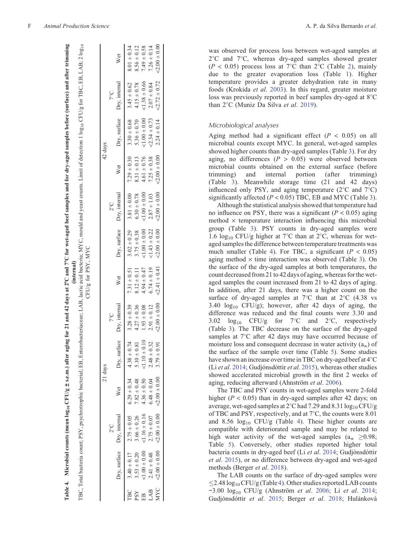|            |                  |                            |                  | 21 days            |                       |                   |                   |                            | 42 days          |                            |                  |                  |
|------------|------------------|----------------------------|------------------|--------------------|-----------------------|-------------------|-------------------|----------------------------|------------------|----------------------------|------------------|------------------|
|            |                  | $2^{\circ}$ C              |                  |                    | 50<                   |                   |                   | $2^{\circ}$ C              |                  |                            | $7^{\circ}C$     |                  |
|            |                  | Dry, surface Dry, internal | Wet              | Dry,               | surface Dry, internal | Wet               |                   | Dry, surface Dry, internal | Wet              | Dry, surface Dry, internal |                  | Wet              |
| TBC.       | $3.40 \pm 0.17$  | $2.75 \pm 0.05$            | $6.29 \pm 0.34$  | $+0.74$<br>4.38    | $3.28 \pm 0.39$       | $7.31 \pm 0.51$   | $3.02 \pm 0.29$   | $3.81 \pm 0.00$            | $7.29 \pm 0.30$  | $3.30 \pm 0.68$            | $3.45 \pm 0.62$  | $8.01 \pm 0.34$  |
| <b>ASd</b> | $3.53 \pm 0.20$  | $3.66 \pm 0.26$            | $7.82 \pm 0.48$  | $\pm$ 0.81<br>5.10 | $4.27 \pm 0.36$       | $8.12 \pm 0.11$   | $3.75 \pm 0.38$   | $6.30 \pm 0.78$            | $8.31 \pm 0.13$  | $5.36 \pm 0.70$            | $4.15 \pm 0.78$  | $8.56 \pm 0.12$  |
| Ë          | $51.00 \pm 0.00$ | $1.16 \pm 0.16$            | $4.36 \pm 0.50$  | $1.10 \pm 0.10$    | $1.93 \pm 0.08$       | $4.94 \pm 0.47$   | $< 1.00 \pm 0.00$ | $< 1.00 \pm 0.00$          | $4.61 \pm 0.76$  | $0.00 + 0.00$              | $1.38 \pm 0.66$  | $7.49 \pm 0.58$  |
| LAB        | $2.41 \pm 0.48$  | $2.75 \pm 0.07$            | $6.48 \pm 0.04$  | $+0.32$<br>2.48    | $2.91 \pm 0.12$       | $6.74 \pm 0.19$   | $1.43 \pm 0.22$   | $2.87 \pm 1.03$            | $7.25 \pm 0.38$  | $-2.34 \pm 0.73$           | $2.07 \pm 0.84$  | $7.26 \pm 0.14$  |
| <b>MYC</b> | $-2.00 \pm 0.00$ | $-2.00 \pm 0.00$           | $-2.00 \pm 0.00$ | ± 0.91<br>3.79     | $< 2.00 \pm 0.00$     | $< 2.41 \pm 0.41$ | $-2.00 \pm 0.00$  | $-2.00 \pm 0.00$           | $-2.00 \pm 0.00$ | $2.24 \pm 0.14$            | $-2.72 \pm 0.72$ | $-2.00 \pm 0.00$ |

|                                                          | $110C, CD, LAD, \angle 1081$<br>$C$ FI $\nu$ a for $T$ R $C$ FR $I$ $\Delta$ R $\cdot$ 2 $\mu$<br>これいこ |
|----------------------------------------------------------|--------------------------------------------------------------------------------------------------------|
| in MVC mould and veget counte I imit of detection 1 log- | $\sum_{i=1}^{n}$                                                                                       |
|                                                          | $7/6$ for PSY MYC<br>LAB, lactic ac.                                                                   |

<sub>10</sub> CFU/g ± s.e.m.) after aging for 21 and 42 days at 2°C and 7°C for wet-aged beef samples and for dry-aged samples before (surface) and after trimming

<span id="page-5-0"></span>Table 4. Microbial counts (mean  $\log_{10}$ CFU/g  $\pm$  s.e.m.) after aging for 21 and 42 days at 2°C and 7°C for wet-aged beef samples and for dry-aged samples before (surface) and after trimming

**Table 4. Microbial counts (mean log**

was observed for process loss between wet-aged samples at 2 C and 7 C, whereas dry-aged samples showed greater  $(P < 0.05)$  process loss at 7<sup>o</sup>C than [2](#page-3-0)<sup>o</sup>C (Table 2), mainly due to the greater evaporation loss (Table [1](#page-3-0)). Higher temperature provides a greater dehydration rate in many foods (Krokida *et al* . [2003](#page-11-0)). In this regard, greater moisture loss was previously reported in beef samples dry-aged at 8°C than 2 C (Muniz Da Silva *et al* . [2019](#page-11-0)).

# *Microbiological analyses*

Aging method had a significant effect  $(P < 0.05)$  on all microbial counts except MYC. In general, wet-aged samples showed higher counts than dry-aged samples (Table [3](#page-4-0)). For dry aging, no differences  $(P > 0.05)$  were observed between microbial counts obtained on the external surface (before trimming) and internal portion (after trimming) (Table [3\)](#page-4-0). Meanwhile storage time (21 and 42 days) influenced only PSY, and aging temperature (2°C and 7°C) significantly affected  $(P < 0.05)$  TBC, EB and MYC (Table [3](#page-4-0)).

Although the statistical analysis showed that temperature had no influence on PSY, there was a significant  $(P < 0.05)$  aging  $method \times temperature$  interaction influencing this microbial group (Table [3\)](#page-4-0). PSY counts in dry-aged samples were 1.6  $log_{10}$  CFU/g higher at 7°C than at 2°C, whereas for wetaged samples the difference between temperature treatments was much smaller (Table 4). For TBC, a significant  $(P < 0.05)$ aging method  $\times$  time interaction was observed (Table [3](#page-4-0)). On the surface of the dry-aged samples at both temperatures, the count decreased from 21 to 42 days of aging, whereas for the wetaged samples the count increased from 21 to 42 days of aging. In addition, after 21 days, there was a higher count on the surface of dry-aged samples at  $7^{\circ}$ C than at  $2^{\circ}$ C (4.38 vs 3.40  $log_{10}$  CFU/g); however, after 42 days of aging, the difference was reduced and the final counts were 3.30 and 3.02  $log_{10}$  CFU/g for 7°C and 2°C, respectively (Table [3\)](#page-4-0). The TBC decrease on the surface of the dry-aged samples at 7°C after 42 days may have occurred because of moisture loss and consequent decrease in water activity  $(a_w)$  of the surface of the sample over time (Table [5\)](#page-6-0). Some studies have shown an increase over time in TBC on dry-aged beef at 4 C (Li *et al* . [2014](#page-11-0); Gudjónsdóttir *et al* . [2015\)](#page-10-0), whereas other studies showed accelerated microbial growth in the first 2 weeks of aging, reducing afterward (Ahnström *et al* . [2006\)](#page-10-0).

The TBC and PSY counts in wet-aged samples were 2-fold higher  $(P < 0.05)$  than in dry-aged samples after 42 days; on average, wet-aged samples at  $2^{\circ}$ C had 7.29 and 8.31  $\log_{10}$  CFU/g of TBC and PSY, respectively, and at 7 C, the counts were 8.01 and 8.56  $log_{10}$  CFU/g (Table 4). These higher counts are compatible with deteriorated sample and may be related to high water activity of the wet-aged samples  $(a_w \ge 0.98;$ Table [5](#page-6-0)). Conversely, other studies reported higher total bacteria counts in dry-aged beef (Li *et al* . [2014;](#page-11-0) Gudjónsdóttir *et al* . [2015\)](#page-10-0), or no difference between dry-aged and wet-aged methods (Berger *et al* . [2018\)](#page-10-0).

The LAB counts on the surface of dry-aged samples were  $\leq$ 2.48 log<sub>10</sub> CFU/g (Table 4). Other studies reported LAB counts ~3.00 log10 CFU/g (Ahnström *et al* . [2006;](#page-10-0) Li *et al* . [2014](#page-11-0) ; Gudjónsdóttir *et al* . [2015;](#page-10-0) Berger *et al* . [2018](#page-10-0); Hulánková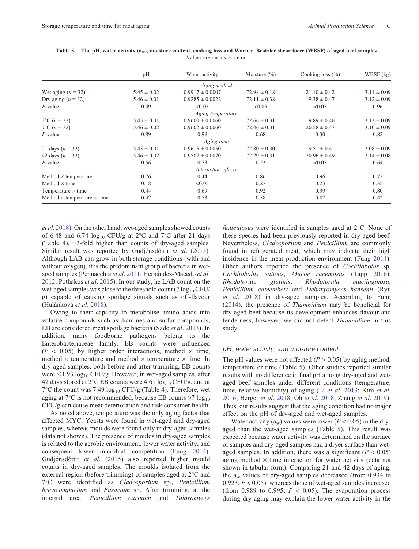|                                           | pН              | Water activity      | Moisture $(\% )$ | Cooking loss $(\% )$ | WBSF (kg)       |
|-------------------------------------------|-----------------|---------------------|------------------|----------------------|-----------------|
|                                           |                 | Aging method        |                  |                      |                 |
| Wet aging $(n = 32)$                      | $5.45 \pm 0.02$ | $0.9917 \pm 0.0007$ | $72.98 \pm 0.18$ | $21.10 \pm 0.42$     | $3.11 \pm 0.09$ |
| Dry aging $(n = 32)$                      | $5.46 \pm 0.01$ | $0.9285 \pm 0.0022$ | $72.11 \pm 0.38$ | $19.38 \pm 0.47$     | $3.12 \pm 0.09$ |
| $P$ -value                                | 0.49            | < 0.05              | < 0.05           | < 0.05               | 0.96            |
|                                           |                 | Aging temperature   |                  |                      |                 |
| $2^{\circ}$ C (n = 32)                    | $5.45 \pm 0.01$ | $0.9600 \pm 0.0060$ | $72.64 \pm 0.31$ | $19.89 \pm 0.46$     | $3.13 \pm 0.09$ |
| $7^{\circ}$ C (n = 32)                    | $5.46 \pm 0.02$ | $0.9602 \pm 0.0060$ | $72.46 \pm 0.31$ | $20.58 \pm 0.47$     | $3.10 \pm 0.09$ |
| $P$ -value                                | 0.89            | 0.99                | 0.68             | 0.30                 | 0.82            |
|                                           |                 | Aging time          |                  |                      |                 |
| 21 days $(n = 32)$                        | $5.45 \pm 0.01$ | $0.9615 \pm 0.0050$ | $72.80 \pm 0.30$ | $19.51 \pm 0.41$     | $3.08 \pm 0.09$ |
| 42 days $(n = 32)$                        | $5.46 \pm 0.02$ | $0.9587 \pm 0.0070$ | $72.29 \pm 0.31$ | $20.96 \pm 0.49$     | $3.14 \pm 0.08$ |
| $P$ -value                                | 0.56            | 0.73                | 0.23             | < 0.05               | 0.64            |
|                                           |                 | Interaction effects |                  |                      |                 |
| Method $\times$ temperature               | 0.76            | 0.44                | 0.86             | 0.96                 | 0.72            |
| Method $\times$ time                      | 0.18            | < 0.05              | 0.27             | 0.23                 | 0.35            |
| Temperature $\times$ time                 | 0.44            | 0.69                | 0.92             | 0.99                 | 0.80            |
| Method $\times$ temperature $\times$ time | 0.47            | 0.53                | 0.58             | 0.87                 | 0.42            |

<span id="page-6-0"></span>**Table 5. The pH, water activity (aw), moisture content, cooking loss and Warner–Bratzler shear force (WBSF) of aged beef samples** Values are means  $+$  s.e.m.

*et al*. [2018](#page-10-0)). On the other hand, wet-aged samples showed counts of 6.48 and 6.74  $log_{10}$  CFU/g at 2°C and 7°C after 21 days (Table [4](#page-5-0)), ~3-fold higher than counts of dry-aged samples. Similar result was reported by Gudjónsdóttir *et al*. [\(2015](#page-10-0)). Although LAB can grow in both storage conditions (with and without oxygen), it is the predominant group of bacteria in wetaged samples (Pennacchia *et al*. [2011](#page-11-0); Hernández-Macedo *et al*. [2012](#page-10-0); Pothakos *et al*. [2015\)](#page-11-0). In our study, he LAB count on the wet-aged samples was close to the threshold count (7  $log_{10}$  CFU/ g) capable of causing spoilage signals such as off-flavour (Hulánková *et al*. [2018\)](#page-10-0).

Owing to their capacity to metabolise amino acids into volatile compounds such as diamines and sulfur compounds, EB are considered meat spoilage bacteria (Säde *et al*. [2013\)](#page-11-0). In addition, many foodborne pathogens belong to the Enterobacteriaceae family. EB counts were influenced  $(P < 0.05)$  by higher order interactions, method  $\times$  time, method  $\times$  temperature and method  $\times$  temperature  $\times$  time. In dry-aged samples, both before and after trimming, EB counts were  $\leq$ 1.93 log<sub>10</sub> CFU/g. However, in wet-aged samples, after 42 days stored at 2°C EB counts were 4.61  $log_{10}$  CFU/g, and at  $7^{\circ}$ C the count was 7.49  $log_{10}$  CFU/g (Table [4\)](#page-5-0). Therefore, wet aging at  $7^{\circ}$ C is not recommended, because EB counts >7  $log_{10}$ CFU/g can cause meat deterioration and risk consumer health.

As noted above, temperature was the only aging factor that affected MYC. Yeasts were found in wet-aged and dry-aged samples, whereas moulds were found only in dry-aged samples (data not shown). The presence of moulds in dry-aged samples is related to the aerobic environment, lower water activity, and consequent lower microbial competition (Fung [2014](#page-10-0)). Gudjónsdóttir *et al*. ([2015](#page-10-0)) also reported higher mould counts in dry-aged samples. The moulds isolated from the external region (before trimming) of samples aged at 2 C and 7 C were identified as *Cladosporium* sp*.*, *Penicillium brevicompactum* and *Fusarium* sp. After trimming, at the internal area, *Penicillium citrinum* and *Talaromyces*

funiculosus were identified in samples aged at 2°C. None of these species had been previously reported in dry-aged beef. Nevertheless, *Cladosporium* and *Penicillium* are commonly found in refrigerated meat, which may indicate their high incidence in the meat production environment (Fung [2014](#page-10-0)). Other authors reported the presence of *Cochliobolus* sp, *Cochliobolus sativus*, *Mucor racemosus* (Tapp [2016](#page-11-0)), *Rhodotorula glutinis*, *Rhodotorula mucilaginosa*, *Penicillium camembert* and *Debaryomyces hansenii* (Ryu *et al*. [2018\)](#page-11-0) in dry-aged samples. According to Fung ([2014\)](#page-10-0), the presence of *Thamnidium* may be beneficial for dry-aged beef because its development enhances flavour and tenderness; however, we did not detect *Thamnidium* in this study.

### *pH, water activity, and moisture content*

The pH values were not affected  $(P > 0.05)$  by aging method, temperature or time (Table 5). Other studies reported similar results with no difference in final pH among dry-aged and wetaged beef samples under different conditions (temperature, time, relative humidity) of aging (Li *et al*. [2013](#page-11-0); Kim *et al*. [2016;](#page-11-0) Berger *et al*. [2018;](#page-10-0) Oh *et al*. [2018;](#page-11-0) Zhang *et al*. [2019](#page-12-0)). Thus, our results suggest that the aging condition had no major effect on the pH of dry-aged and wet-aged samples.

Water activity  $(a_w)$  values were lower ( $P < 0.05$ ) in the dryaged than the wet-aged samples (Table 5). This result was expected because water activity was determined on the surface of samples and dry-aged samples had a dryer surface than wetaged samples. In addition, there was a significant  $(P < 0.05)$ aging method  $\times$  time interaction for water activity (data not shown in tabular form). Comparing 21 and 42 days of aging, the  $a_w$  values of dry-aged samples decreased (from 0.934 to 0.923; *P* < 0.05), whereas those of wet-aged samples increased (from 0.989 to 0.995;  $P < 0.05$ ). The evaporation process during dry aging may explain the lower water activity in the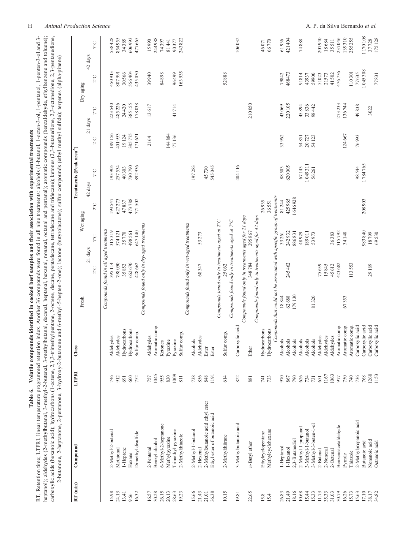| í                            |
|------------------------------|
| l                            |
| $\frac{1}{2}$<br>Ę<br>$-2.5$ |
| í<br>$\overline{a}$<br>ł     |
| à<br>$\ddot{\phantom{a}}$    |
| ł                            |
| l<br>l<br>Ï                  |
|                              |
|                              |
| j                            |
| י<br>י                       |
| Jatile                       |
| able 6.<br>Table             |

<span id="page-7-0"></span>RT, Retention time; LTPRI, linear temperature programmed retention index. Another 36 compounds were found in all nine treatments: alcohols (1-butanol, 1-octen-3-ol, 1-pentanol, 1-penten-3-ol and 3-<br>heptanol); aldehydes (2carboxylic acids (hexanoic acid); hydrocarbons (1-octene, 2,3,3,3-trimethylpentane, 2-octene, decane, pentadecane, tetradecane and tridecane); ketones (2,3-butanedione, 2,3-octanedione, 2,3-pentanedione, RT, Retention time; LTPRI, linear temperature programmed retention index. Another 36 compounds were found in all nine treatments: alcohols (1-butanol, 1-octen-3-ol, 1-pentanol, 1-penten-3-ol and 3 heptanol); aldehydes (2-methylbutanal, 3-methyl-2-butenal, 3-methylbutanal, decanal, heptanal, hexanal, nonanal, octanal and pentanal); aromatic compounds (benzaldehyde, ethylbenzene and toluene); carboxylic acids (hexanoic acid); hydrocarbons (1-octene, 2,3,3-trimethylpentane, 2-octene, decane, pentadecane, tetradecane and tridecane); ketones (2,3-butanedione, 2,3-octanedione, 2,3-pentanedione, Ė Colinho s (ethyl methyl sulfide).  $\frac{1}{2}$  $\frac{1}{\sqrt{2}}$  $\ddot{\phantom{0}}$  $\Delta$  $\cdot$  lacto  $ten-2$ . methyl\_5\_hent  $\overline{\phantom{a}}$ یستان .<br>نامونه  $2 \frac{bar}{dx}$ l,  $\frac{1}{\epsilon}$  $\overline{\phantom{a}}$ 

| RT (min) | Compound                          | LTPRI        | Class           |                                                                          |                                                         |              |                       | Treatments (Peak area <sup>A</sup> ) |                          |              |                       |                         |
|----------|-----------------------------------|--------------|-----------------|--------------------------------------------------------------------------|---------------------------------------------------------|--------------|-----------------------|--------------------------------------|--------------------------|--------------|-----------------------|-------------------------|
|          |                                   |              |                 | Fresh                                                                    |                                                         |              | Wet aging             |                                      |                          |              | Dry aging             |                         |
|          |                                   |              |                 |                                                                          | $21 \mathrm{ days}$<br>$2^{\circ}$ C                    | $7^{\circ}C$ | $2^{\circ}\mathrm{C}$ | $7^{\circ} \text{C}$<br>42 days      | 21 days<br>$2^{\circ}$ C | $7^{\circ}C$ | $2^{\circ}\mathrm{C}$ | $7^{\circ}C$<br>42 days |
|          |                                   |              |                 |                                                                          | Compounds found in all aged treatments                  |              |                       |                                      |                          |              |                       |                         |
| 15.98    | 2-Methyl-2-butenal                | 746          | Aldehydes       |                                                                          | 395114                                                  | 315319       | 193547                | 193905                               | 189156                   | 223540       | 450913                | 538428                  |
| 24.13    | Methional                         | 912          | Aldehydes       |                                                                          | 798050                                                  | 574 121      | 627273                | 257534                               | 401953                   | 485226       | 807991                | 854955                  |
| 13.41    | 1-Heptene                         | 691          | Hydrocarbons    |                                                                          | 35852                                                   | 35770        | 47837                 | 40303                                | 19124                    | 24420        | 30566                 | 34385                   |
| 9.56     | Hexane                            | 600          | Hydrocarbons    |                                                                          | 662670                                                  | 498561       | 473788                | 730790                               | 385775                   | 385155       | 556404                | 606993                  |
| 16.32    | Dimethyl disulfide                | 752          | comp.<br>Sulfur |                                                                          | 428 662                                                 | 647140       | 771502                | 892936                               | 171621                   | 178038       | 435030                | 477665                  |
|          |                                   |              |                 |                                                                          | Compounds found only in dry-aged treatments             |              |                       |                                      |                          |              |                       |                         |
| 16.57    | 2-Pentenal                        | 757          | Aldehydes       |                                                                          |                                                         |              |                       |                                      | 2164                     | 13617        | 39940                 | 15990                   |
| 30.28    | Benzyl alcohol                    | 1045         | Aromatic comp.  |                                                                          |                                                         |              |                       |                                      |                          |              |                       | 244988                  |
| 26.15    | 6-Methyl-2-heptanone              | 955          | Ketones         |                                                                          |                                                         |              |                       |                                      |                          |              | 84898                 | 74397                   |
| 20.13    | Methylpyrazine                    | 830          | Pyrazine        |                                                                          |                                                         |              |                       |                                      | 144884                   |              |                       | 81441                   |
| 28.63    | Trimethyl-pyrazine                | 1009         | Pyrazine        |                                                                          |                                                         |              |                       |                                      | 77136                    | 41714        | 96499                 | 90377                   |
| 19.23    | 2-Methylthiazole                  | 811          | comp.<br>Sulfur |                                                                          |                                                         |              |                       |                                      |                          |              | 163935                | 243822                  |
|          |                                   |              |                 |                                                                          | Compounds found only in wet-aged treatments             |              |                       |                                      |                          |              |                       |                         |
| 15.66    | 2-Methyl-1-butanol                | 738          | Alcohols        |                                                                          |                                                         |              |                       | 197283                               |                          |              |                       |                         |
| 21.43    | 2-Hexenal                         | 856          | Aldehydes       |                                                                          | 68347                                                   | 53273        |                       |                                      |                          |              |                       |                         |
| 21.01    | 2-Methylbutanoic acid ethyl ester | 848          | Ester           |                                                                          |                                                         |              |                       | 45730                                |                          |              |                       |                         |
| 36.38    | Ethyl ester of butanoic acid      | 1191         | Ester           |                                                                          |                                                         |              |                       | 545045                               |                          |              |                       |                         |
| 10.15    | 2-Methylthiirane                  | 614          | comp.<br>Sulfur |                                                                          | Compounds found only in treatments aged at 2°C<br>25062 |              |                       |                                      |                          |              | 52888                 |                         |
|          |                                   |              |                 | Compounds found only in treatments aged at 7°C                           |                                                         |              |                       |                                      |                          |              |                       |                         |
| 19.81    | 3-Methylbutanoic acid             | 822          | Carboxylic acid |                                                                          |                                                         |              |                       | 404116                               |                          |              |                       | 106032                  |
|          |                                   |              |                 | Compounds found only in treatments aged for 21 days                      |                                                         |              |                       |                                      |                          |              |                       |                         |
| 22.65    | $n$ -Butyl ether                  | 881          | Ether           |                                                                          | 348784                                                  | 295867       |                       |                                      |                          | 210050       |                       |                         |
|          |                                   |              |                 | Compounds found only in treatments aged for 42 days                      |                                                         |              |                       |                                      |                          |              |                       |                         |
| 15.8     | Ethylcyclopentane                 | 741          | Hydrocarbons    |                                                                          |                                                         |              | 26935                 |                                      |                          |              |                       | 46071                   |
| 15.4     | Methylcyclohexane                 | 733          | Hydrocarbons    | Compounds that could not be associated with specific group of treatments |                                                         |              | 36551                 |                                      |                          |              |                       | 66770                   |
| 26.83    | 1-Heptanol                        | 970          | Alcohols        | 18844                                                                    |                                                         | 33261        | 81 244                | 88503                                | 33962                    | 43069        | 79842                 | 61936                   |
| 21.49    | 1-Hexanol                         | 867          | Alcohols        | 62688                                                                    | 245 462                                                 | 242932       | 425965                | 620005                               |                          | 220105       | 468473                | 421404                  |
| 18.16    | 2,3-Butanediol                    | $790\,$      | Alcohols        | 179130                                                                   |                                                         | 886831       | 1646928               |                                      |                          |              |                       |                         |
| 10.68    | 2-Methyl-1-propanol               | $626$        | Alcohols        |                                                                          |                                                         | 48929        |                       | 67143                                | 54851                    | 45894        | 91814                 | 74888                   |
| 15.44    | 3-Methyl-1-butanol                | 734          | Alcohols        |                                                                          |                                                         | 189011       |                       | 1049311                              | 20727                    | 33836        | 43937                 |                         |
| 15.33    | 3-Methyl-3-buten-1-ol             | 731          | Alcohols        | 81320                                                                    |                                                         | 53973        |                       | 56261                                | 54123                    | 98442        | 59900                 |                         |
| 11.73    | 2-Butenal                         | 651          | Aldehydes       |                                                                          | 75639                                                   |              |                       |                                      |                          |              | 51023                 | 207940                  |
| 35.33    | 2-Nonenal                         | 1167         | Aldehydes       |                                                                          | 15845                                                   |              |                       |                                      |                          |              | 21573                 | 18684                   |
| 31.03    | 2-Octenal                         | 1063         | Aldehydes       |                                                                          | 45612                                                   | 36383        |                       |                                      |                          |              | 41502                 | 35511                   |
| 30.79    | Benzeneacetaldehyde               | 977          | Aromatic comp.  |                                                                          | 423 682                                                 | 315792       |                       |                                      |                          | 273 233      | 476736                | 237046                  |
| 16.26    | Pyrrole                           | 750          | Aromatic comp.  | 67353                                                                    |                                                         | 34148        |                       |                                      | 124667                   | 136744       |                       | 139310                  |
| 15.73    | Thiazole                          | 740          | Aromatic comp.  |                                                                          | 113553                                                  |              |                       |                                      |                          |              | 110301                | 255255                  |
| 15.63    | 2-Methylpropanoic acid            | 736          | Carboxylic acid |                                                                          |                                                         |              |                       | 98 544                               | 76993                    | 49838        | 77635                 |                         |
| 17.10    | Butanoic acid                     | 768          | Carboxylic acid |                                                                          |                                                         | 983840       | 208903                | 1784765                              |                          |              | 1045308               | 1170108                 |
| 38.17    | Nonanoic acid                     | 1260<br>1153 | Carboxylic acid |                                                                          | 29189                                                   | 18799        |                       |                                      |                          | 3022         |                       | 37728                   |
| 34.82    | Octanoic acid                     |              | Carboxylic acid |                                                                          |                                                         | 69530        |                       |                                      |                          |              | 77831                 | 175128                  |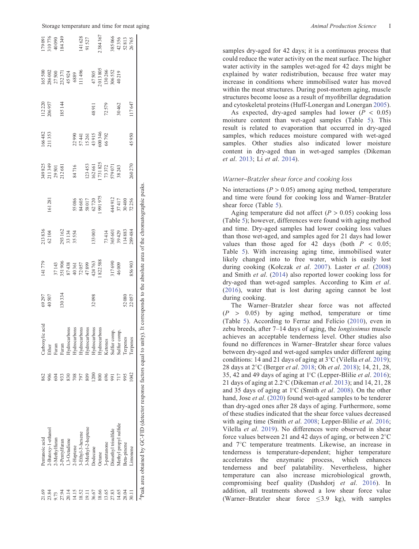| 21.69 | Pentanoic acid                                                                        | 862  | Carboxylic acid                                                                                                                   |                | 141779                                                                            |                                                   |                                                                                       |                                                                                                                |                                                   |                    |                                                                                                                 |                                                     |
|-------|---------------------------------------------------------------------------------------|------|-----------------------------------------------------------------------------------------------------------------------------------|----------------|-----------------------------------------------------------------------------------|---------------------------------------------------|---------------------------------------------------------------------------------------|----------------------------------------------------------------------------------------------------------------|---------------------------------------------------|--------------------|-----------------------------------------------------------------------------------------------------------------|-----------------------------------------------------|
| 23.84 | -Butoxy-1-ethanol                                                                     |      | Ether                                                                                                                             | 69297<br>40507 |                                                                                   | 213 836<br>62 104                                 | 161281                                                                                |                                                                                                                | 166482<br>211353                                  | 112 220<br>206 957 |                                                                                                                 |                                                     |
| 9.73  | -Methylfuran                                                                          |      | Furan                                                                                                                             |                |                                                                                   |                                                   |                                                                                       |                                                                                                                |                                                   |                    |                                                                                                                 |                                                     |
| 27.94 | -Pentylfuran                                                                          | 933  | Furan                                                                                                                             | 130334         |                                                                                   |                                                   |                                                                                       | 349 825<br>211 349<br>29 501<br>212 681<br>34 716                                                              |                                                   | 185144             |                                                                                                                 | 179 091<br>310 776<br>40 090<br>48 3 49<br>184 3 49 |
| 20.14 | 1,3-Octadiene                                                                         | 830  | Hydrocarbons                                                                                                                      |                |                                                                                   |                                                   |                                                                                       |                                                                                                                |                                                   |                    |                                                                                                                 |                                                     |
| 14.15 | 2-Heptene                                                                             | 708  | Hydrocarbons                                                                                                                      |                |                                                                                   | 293162<br>33134<br>35554                          |                                                                                       |                                                                                                                |                                                   |                    |                                                                                                                 |                                                     |
| 18.52 | -Ethyl-3-hexene                                                                       | 797  |                                                                                                                                   |                |                                                                                   |                                                   |                                                                                       |                                                                                                                |                                                   |                    |                                                                                                                 |                                                     |
| 19.11 | -Methyl-2-heptene                                                                     | 809  |                                                                                                                                   |                |                                                                                   |                                                   |                                                                                       |                                                                                                                |                                                   |                    |                                                                                                                 | 141 628<br>91 527                                   |
| 36.67 | <b>Dodecane</b>                                                                       | 1200 |                                                                                                                                   | 32098          |                                                                                   | 133003                                            |                                                                                       |                                                                                                                |                                                   | 48911              |                                                                                                                 |                                                     |
| 18.66 | <b>Octane</b>                                                                         | 800  | $\begin{array}{l} \bf{Hydroarbons} \\ \bf{Hydrocarbons} \\ \bf{Hydrocarbons} \\ \bf{Hydroarbons} \\ \bf{Hydroarbons} \end{array}$ |                | 37143<br>351 906<br>87 438<br>87 4361<br>424 763<br>424 763<br>424 763<br>422 588 |                                                   |                                                                                       | $\begin{array}{c} 123\,453 \\ 162\,661 \\ 1731\,825 \\ 73\,372 \\ 579\,071 \\ 579\,071 \\ 38\,243 \end{array}$ | 22990<br>57441<br>5761<br>15261<br>43915<br>66792 |                    | 165 500<br>286 002<br>27 500<br>27 500 44 505<br>45 505 505 505<br>47 505 505 505<br>306 52<br>306 52<br>306 52 | 2384367                                             |
| 13.65 | -pentanone                                                                            | 696  | Ketones                                                                                                                           |                |                                                                                   |                                                   |                                                                                       |                                                                                                                |                                                   | 72579              |                                                                                                                 |                                                     |
| 27.83 | )imethyl trisulfide                                                                   | 991  | Sulfur comp.                                                                                                                      |                | 317690<br>46009                                                                   |                                                   |                                                                                       |                                                                                                                |                                                   |                    |                                                                                                                 |                                                     |
| 14.65 | Methyl propyl sulfide                                                                 |      | Sulfur comp.                                                                                                                      |                |                                                                                   |                                                   |                                                                                       |                                                                                                                |                                                   | 30462              |                                                                                                                 |                                                     |
| 28.04 | Beta-pinene                                                                           | 995  | Terpenes                                                                                                                          |                |                                                                                   | 73 414<br>365 601<br>39 429<br>114 883<br>114 883 | 55 086<br>84 605<br>85 017<br>62 720<br>62 73 44 912<br>44 912<br>37 417<br>37 44 912 |                                                                                                                |                                                   |                    |                                                                                                                 | 385066<br>42 356<br>52 813<br>52 765                |
|       | Limonene                                                                              |      | enes<br>Terpe                                                                                                                     | 52080<br>22057 | 856903                                                                            |                                                   |                                                                                       | 260270                                                                                                         | 45950                                             | 117647             |                                                                                                                 |                                                     |
|       | <sup>4</sup> Peak area obtained by GC-FID (detector response factors equal to unity). |      |                                                                                                                                   |                |                                                                                   |                                                   | . It corresponds to the absolute area of the chromatographic peaks                    |                                                                                                                |                                                   |                    |                                                                                                                 |                                                     |

samples dry-aged for 42 days; it is a continuous process that could reduce the water activity on the meat surface. The higher water activity in the samples wet-aged for 42 days might be explained by water redistribution, because free water may increase in conditions where immobilised water has moved within the meat structures. During post-mortem aging, muscle structures become loose as a result of myo fibrillar degradation and cytoskeletal proteins (Huff-Lonergan and Lonergan [2005](#page-10-0)).

As expected, dry-aged samples had lower  $(P < 0.05)$ moisture content than wet-aged samples (Table [5](#page-6-0)). This result is related to evaporation that occurred in dry-aged samples, which reduces moisture compared with wet-aged samples. Other studies also indicated lower moisture content in dry-aged than in wet-aged samples (Dikeman *et al* . [2013](#page-10-0); Li *et al* . [2014\)](#page-11-0).

## *Warner–Bratzler shear force and cooking loss*

No interactions  $(P > 0.05)$  among aging method, temperature and time were found for cooking loss and Warner–Bratzler shear force (Table [5](#page-6-0)).

Aging temperature did not affect  $(P > 0.05)$  cooking loss (Table [5\)](#page-6-0); however, differences were found with aging method and time. Dry-aged samples had lower cooking loss values than those wet-aged, and samples aged for 21 days had lower values than those aged for  $42$  days (both  $P < 0.05$ ; Table [5\)](#page-6-0). With increasing aging time, immobilised water likely changed into to free water, which is easily lost during cooking (Kołczak et al. [2007\)](#page-11-0). Laster et al. [\(2008](#page-11-0)) and Smith *et al*. ([2014\)](#page-11-0) also reported lower cooking loss for dry-aged than wet-aged samples. According to Kim *et al* . ([2016\)](#page-11-0), water that is lost during ageing cannot be lost during cooking.

The Warner–Bratzler shear force was not affected  $(P > 0.05)$  by aging method, temperature or time (Table [5\)](#page-6-0). According to Ferraz and Felício [\(2010](#page-10-0)), even in zebu breeds, after 7 –14 days of aging, the *longissimus* muscle achieves an acceptable tenderness level. Other studies also found no differences in Warner–Bratzler shear force values between dry-aged and wet-aged samples under different aging conditions: 14 and 21 days of aging at 3 C (Vilella *et al* . [2019\)](#page-12-0); 28 days at 2 C (Berger *et al* . [2018](#page-10-0); Oh *et al* . [2018\)](#page-11-0); 14, 21, 28, 35, 42 and 49 days of aging at 1 C (Lepper-Blilie *et al* . [2016\)](#page-11-0); 21 days of aging at 2.2 C (Dikeman *et al* . [2013](#page-10-0)); and 14, 21, 28 and 35 days of aging at 1 C (Smith *et al* . [2008](#page-11-0)). On the other hand, Jose *et al*. [\(2020](#page-11-0)) found wet-aged samples to be tenderer than dry-aged ones after 28 days of aging. Furthermore, some of these studies indicated that the shear force values decreased with aging time (Smith et al. [2008](#page-11-0); Lepper-Blilie et al. [2016](#page-11-0); Vilella *et al* . [2019\)](#page-12-0). No differences were observed in shear force values between 21 and 42 days of aging, or between  $2^{\circ}$ C and 7 C temperature treatments. Likewise, an increase in tenderness is temperature-dependent; higher temperature accelerates the enzymatic process, which enhances tenderness and beef palatability. Nevertheless, higher temperature can also increase microbiological growth, compromising beef quality (Dashdorj *et al* . [2016\)](#page-10-0). In addition, all treatments showed a low shear force value (Warner–Bratzler shear force 3.9 kg), with samples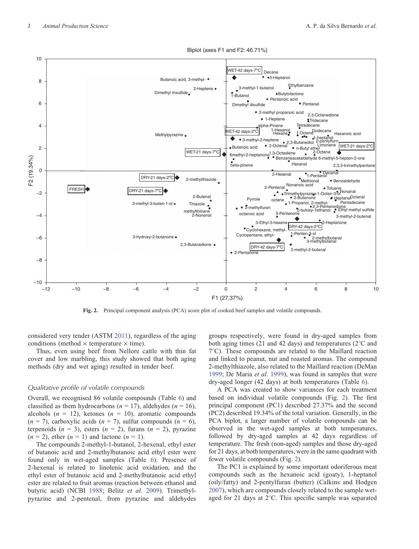

Biplot (axes F1 and F2: 46.71%)

**Fig. 2.** Principal component analysis (PCA) score plot of cooked beef samples and volatile compounds.

considered very tender (ASTM [2011](#page-10-0)), regardless of the aging conditions (method  $\times$  temperature  $\times$  time).

Thus, even using beef from Nellore cattle with thin fat cover and low marbling, this study showed that both aging methods (dry and wet aging) resulted in tender beef.

#### *Qualitative profile of volatile compounds*

Overall, we recognised 86 volatile compounds (Table [6\)](#page-7-0) and classified as them hydrocarbons ( $n = 17$ ), aldehydes ( $n = 16$ ), alcohols  $(n = 12)$ , ketones  $(n = 10)$ , aromatic compounds  $(n = 7)$ , carboxylic acids  $(n = 7)$ , sulfur compounds  $(n = 6)$ , terpenoids  $(n = 3)$ , esters  $(n = 2)$ , furans  $(n = 2)$ , pyrazine  $(n = 2)$ , ether  $(n = 1)$  and lactone  $(n = 1)$ .

The compounds 2-methyl-1-butanol, 2-hexenal, ethyl ester of butanoic acid and 2-methylbutanoic acid ethyl ester were found only in wet-aged samples (Table [6\)](#page-7-0). Presence of 2-hexenal is related to linolenic acid oxidation, and the ethyl ester of butanoic acid and 2-methylbutanoic acid ethyl ester are related to fruit aromas (reaction between ethanol and butyric acid) (NCBI [1988;](#page-11-0) Belitz *et al.* [2009\)](#page-10-0). Trimethylpyrazine and 2-pentenal, from pyrazine and aldehydes

groups respectively, were found in dry-aged samples from both aging times (21 and 42 days) and temperatures (2 C and 7 C). These compounds are related to the Maillard reaction and linked to peanut, nut and roasted aromas. The compound 2-methylthiazole, also related to the Maillard reaction (DeMan [1999;](#page-10-0) De Maria *et al.* [1999](#page-10-0)), was found in samples that were dry-aged longer (42 days) at both temperatures (Table [6\)](#page-7-0).

A PCA was created to show variances for each treatment based on individual volatile compounds (Fig. 2). The first principal component (PC1) described 27.37% and the second (PC2) described 19.34% of the total variation. Generally, in the PCA biplot, a larger number of volatile compounds can be observed in the wet-aged samples at both temperatures, followed by dry-aged samples at 42 days regardless of temperature. The fresh (non-aged) samples and those dry-aged for 21 days, at both temperatures, were in the same quadrant with fewer volatile compounds (Fig. 2).

The PC1 is explained by some important odoriferous meat compounds such as the hexanoic acid (goaty), 1-heptanol (oily/fatty) and 2-pentylfuran (butter) (Calkins and Hodgen [2007\)](#page-10-0), which are compounds closely related to the sample wetaged for 21 days at 2 C. This specific sample was separated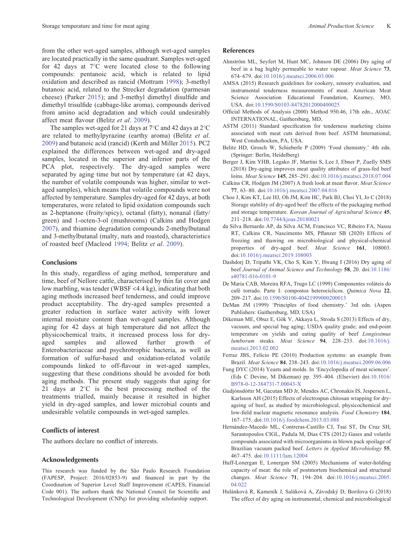<span id="page-10-0"></span>from the other wet-aged samples, although wet-aged samples are located practically in the same quadrant. Samples wet-aged for 42 days at 7 C were located close to the following compounds: pentanoic acid, which is related to lipid oxidation and described as rancid (Mottram [1998\)](#page-11-0); 3-methyl butanoic acid, related to the Strecker degradation (parmesan cheese) (Parker [2015\)](#page-11-0); and 3-methyl dimethyl disulfide and dimethyl trisulfide (cabbage-like aroma), compounds derived from amino acid degradation and which could undesirably affect meat flavour (Belitz *et al*. 2009).

The samples wet-aged for 21 days at 7 C and 42 days at 2 C are related to methylpyrazine (earthy aroma) (Belitz *et al*. 2009) and butanoic acid (rancid) (Kerth and Miller [2015](#page-11-0)). PC2 explained the differences between wet-aged and dry-aged samples, located in the superior and inferior parts of the PCA plot, respectively. The dry-aged samples were separated by aging time but not by temperature (at 42 days, the number of volatile compounds was higher, similar to wetaged samples), which means that volatile compounds were not affected by temperature. Samples dry-aged for 42 days, at both temperatures, were related to lipid oxidation compounds such as 2-heptanone (fruity/spicy), octanal (fatty), nonanal (fatty/ green) and 1-octen-3-ol (mushrooms) (Calkins and Hodgen 2007), and thiamine degradation compounds 2-methylbutanal and 3-methylbutanal (malty, nuts and roasted), characteristics of roasted beef (Macleod [1994;](#page-11-0) Belitz *et al*. 2009).

# **Conclusions**

In this study, regardless of aging method, temperature and time, beef of Nellore cattle, characterised by thin fat cover and low marbling, was tender (WBSF <4.4 kg), indicating that both aging methods increased beef tenderness, and could improve product acceptability. The dry-aged samples presented a greater reduction in surface water activity with lower internal moisture content than wet-aged samples. Although aging for 42 days at high temperature did not affect the physicochemical traits, it increased process loss for dryaged samples and allowed further growth of Enterobacteriaceae and psychrotrophic bacteria, as well as formation of sulfur-based and oxidation-related volatile compounds linked to off-flavour in wet-aged samples, suggesting that these conditions should be avoided for both aging methods. The present study suggests that aging for 21 days at 2 C is the best processing method of the treatments trialled, mainly because it resulted in higher yield in dry-aged samples, and lower microbial counts and undesirable volatile compounds in wet-aged samples.

# **Conflicts of interest**

The authors declare no conflict of interests.

## **Acknowledgements**

This research was funded by the São Paulo Research Foundation (FAPESP, Project: 2016/02853-9) and financed in part by the Coordination of Superior Level Staff Improvement (CAPES, Financial Code 001). The authors thank the National Council for Scientific and Technological Development (CNPq) for providing scholarship support.

# **References**

- Ahnström ML, Seyfert M, Hunt MC, Johnson DE (2006) Dry aging of beef in a bag highly permeable to water vapour. *Meat Science* **73**, 674–679. doi[:10.1016/j.meatsci.2006.03.006](dx.doi.org/10.1016/j.meatsci.2006.03.006)
- AMSA (2015) Research guidelines for cookery, sensory evaluation, and instrumental tenderness measurements of meat. American Meat Science Association Educational Foundation, Kearney, MO, USA. doi[:10.1590/S0103-84782012000400025](dx.doi.org/10.1590/S0103-84782012000400025)
- Official Methods of Analysis (2000) Method 950.46, 17th edn., AOAC INTERNATIONAL, Gaithersburg, MD,
- ASTM (2011) Standard specification for tenderness marketing claims associated with meat cuts derived from beef. ASTM International, West Conshohocken, PA, USA.
- Belitz HD, Grosch W, Schieberle P (2009) 'Food chemistry.' 4th edn. (Springer: Berlin, Heidelberg)
- Berger J, Kim YHB, Legako JF, Martini S, Lee J, Ebner P, Zuelly SMS (2018) Dry-aging improves meat quality attributes of grass-fed beef loins. *Meat Science* **145**, 285–291. doi[:10.1016/j.meatsci.2018.07.004](dx.doi.org/10.1016/j.meatsci.2018.07.004)
- Calkins CR, Hodgen JM (2007) A fresh look at meat flavor. *Meat Science* **77**, 63–80. doi[:10.1016/j.meatsci.2007.04.016](dx.doi.org/10.1016/j.meatsci.2007.04.016)
- Choe J, Kim KT, Lee HJ, Oh JM, Kim HC, Park BJ, Choi YI, Jo C (2018) Storage stability of dry-aged beef: the effects of the packaging method and storage temperature. *Korean Journal of Agricultural Science* **45**, 211–218. doi[:10.7744/kjoas.20180021](dx.doi.org/10.7744/kjoas.20180021)
- da Silva Bernardo AP, da Silva ACM, Francisco VC, Ribeiro FA, Nassu RT, Calkins CR, Nascimento MS, Pflanzer SB (2020) Effects of freezing and thawing on microbiological and physical-chemical properties of dry-aged beef. *Meat Science* **161**, 108003. doi[:10.1016/j.meatsci.2019.108003](dx.doi.org/10.1016/j.meatsci.2019.108003)
- Dashdorj D, Tripathi VK, Cho S, Kim Y, Hwang I (2016) Dry aging of beef *Journal of Animal Science and Technology* **58**, 20. doi[:10.1186/](dx.doi.org/10.1186/s40781-016-0101-9) [s40781-016-0101-9](dx.doi.org/10.1186/s40781-016-0101-9)
- De Maria CAB, Moreira RFA, Trugo LC (1999) Componentes voláteis do café torrado. Parte I: compostos heterocíclicos. *Quimica Nova* **22**, 209–217. doi[:10.1590/S0100-40421999000200013](dx.doi.org/10.1590/S0100-40421999000200013)
- DeMan JM (1999) 'Principles of food chemistry.' 3rd edn. (Aspen Publishers: Gaithersburg, MD, USA)
- Dikeman ME, Obuz E, Gök V, Akkaya L, Stroda S (2013) Effects of dry, vacuum, and special bag aging; USDA quality grade; and end-point temperature on yields and eating quality of beef *Longissimus lumborum* steaks. *Meat Science* **94**, 228–233. doi:[10.1016/j.](dx.doi.org/10.1016/j.meatsci.2013.02.002) [meatsci.2013.02.002](dx.doi.org/10.1016/j.meatsci.2013.02.002)
- Ferraz JBS, Felício PE (2010) Production systems: an example from Brazil. *Meat Science* **84**, 238–243. doi[:10.1016/j.meatsci.2009.06.006](dx.doi.org/10.1016/j.meatsci.2009.06.006)
- Fung DYC (2014) Yeasts and molds. In 'Encyclopedia of meat sciences'. (Eds C Devine, M Dikeman) pp. 395–404. (Elsevier) doi[:10.1016/](dx.doi.org/10.1016/B978-0-12-384731-7.00043-X) [B978-0-12-384731-7.00043-X](dx.doi.org/10.1016/B978-0-12-384731-7.00043-X)
- Gudjónsdóttir M, Gacutan MD Jr, Mendes AC, Chronakis IS, Jespersen L, Karlsson AH (2015) Effects of electrospun chitosan wrapping for dryageing of beef, as studied by microbiological, physicochemical and low-field nuclear magnetic resonance analysis. *Food Chemistry* **184**, 167–175. doi[:10.1016/j.foodchem.2015.03.088](dx.doi.org/10.1016/j.foodchem.2015.03.088)
- Hernández-Macedo ML, Contreras-Castillo CJ, Tsai ST, Da Cruz SH, Sarantopoulos CIGL, Padula M, Dias CTS (2012) Gases and volatile compounds associated with microorganisms in blown pack spoilage of Brazilian vacuum packed beef. *Letters in Applied Microbiology* **55**, 467–475. doi[:10.1111/lam.12004](dx.doi.org/10.1111/lam.12004)
- Huff-Lonergan E, Lonergan SM (2005) Mechanisms of water-holding capacity of meat: the role of postmortem biochemical and structural changes. *Meat Science* **71**, 194–204. doi:[10.1016/j.meatsci.2005.](dx.doi.org/10.1016/j.meatsci.2005.04.022) [04.022](dx.doi.org/10.1016/j.meatsci.2005.04.022)
- Hulánková R, Kameník J, Saláková A, Závodský D, Borilova G (2018) The effect of dry aging on instrumental, chemical and microbiological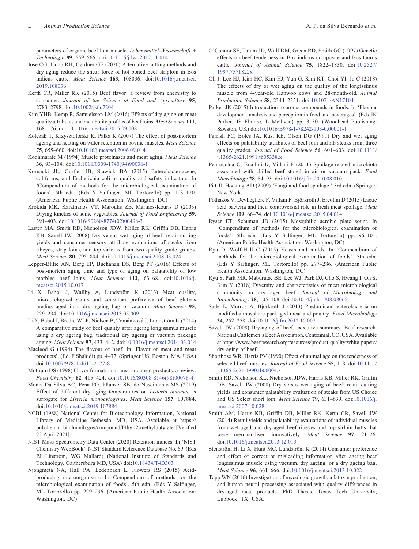<span id="page-11-0"></span>parameters of organic beef loin muscle. *Lebensmittel-Wissenschaft + Technologie* **89**, 559–565. doi[:10.1016/j.lwt.2017.11.014](dx.doi.org/10.1016/j.lwt.2017.11.014)

- Jose CG, Jacob RH, Gardner GE (2020) Alternative cutting methods and dry aging reduce the shear force of hot boned beef striploin in Bos indicus cattle. *Meat Science* **163**, 108036. doi:[10.1016/j.meatsci.](dx.doi.org/10.1016/j.meatsci.2019.108036) [2019.108036](dx.doi.org/10.1016/j.meatsci.2019.108036)
- Kerth CR, Miller RK (2015) Beef flavor: a review from chemistry to consumer. *Journal of the Science of Food and Agriculture* **95**, 2783–2798. doi[:10.1002/jsfa.7204](dx.doi.org/10.1002/jsfa.7204)
- Kim YHB, Kemp R, Samuelsson LM (2016) Effects of dry-aging on meat quality attributes and metabolite profiles of beef loins. *Meat Science* **111**, 168–176. doi[:10.1016/j.meatsci.2015.09.008](dx.doi.org/10.1016/j.meatsci.2015.09.008)
- Kołczak T, Krzysztoforski K, Palka K (2007) The effect of post-mortem ageing and heating on water retention in bovine muscles. *Meat Science* **75**, 655–660. doi[:10.1016/j.meatsci.2006.09.014](dx.doi.org/10.1016/j.meatsci.2006.09.014)
- Koohmaraie M (1994) Muscle proteinases and meat aging. *Meat Science* **36**, 93–104. doi[:10.1016/0309-1740\(94\)90036-1](dx.doi.org/10.1016/0309-1740(94)90036-1)
- Kornacki JL, Gurtler JB, Stawick BA (2015) Enterobacteriaceae, coliforms, and Escherichia coli as quality and safety indicators. In 'Compendium of methods for the microbiological examination of foods'. 5th edn. (Eds Y Salfinger, ML Tortorello) pp. 103–120. (American Public Health Association: Washington, DC)
- Krokida MK, Karathanos VT, Maroulis ZB, Marinos-Kouris D (2003) Drying kinetics of some vegetables. *Journal of Food Engineering* **59**, 391–403. doi[:10.1016/S0260-8774\(02\)00498-3](dx.doi.org/10.1016/S0260-8774(02)00498-3)
- Laster MA, Smith RD, Nicholson JDW, Miller RK, Griffin DB, Harris KB, Savell JW (2008) Dry versus wet aging of beef: retail cutting yields and consumer sensory attribute evaluations of steaks from ribeyes, strip loins, and top sirloins from two quality grade groups. *Meat Science* **80**, 795–804. doi[:10.1016/j.meatsci.2008.03.024](dx.doi.org/10.1016/j.meatsci.2008.03.024)
- Lepper-Blilie AN, Berg EP, Buchanan DS, Berg PT (2016) Effects of post-mortem aging time and type of aging on palatability of low marbled beef loins. *Meat Science* **112**, 63–68. doi:[10.1016/j.](dx.doi.org/10.1016/j.meatsci.2015.10.017) [meatsci.2015.10.017](dx.doi.org/10.1016/j.meatsci.2015.10.017)
- Li X, Babol J, Wallby A, Lundström K (2013) Meat quality, microbiological status and consumer preference of beef gluteus medius aged in a dry ageing bag or vacuum. *Meat Science* **95**, 229–234. doi[:10.1016/j.meatsci.2013.05.009](dx.doi.org/10.1016/j.meatsci.2013.05.009)
- Li X, Babol J, Bredie WLP, Nielsen B, Tománková J, Lundström K (2014) A comparative study of beef quality after ageing longissimus muscle using a dry ageing bag, traditional dry ageing or vacuum package ageing. *Meat Science* **97**, 433–442. doi:[10.1016/j.meatsci.2014.03.014](dx.doi.org/10.1016/j.meatsci.2014.03.014)
- Macleod G (1994) The flavour of beef. In 'Flavor of meat and meat products'. (Ed. F Shahidi) pp. 4–37. (Springer US: Boston, MA, USA) doi[:10.1007/978-1-4615-2177-8](dx.doi.org/10.1007/978-1-4615-2177-8)
- Mottram DS (1998) Flavor formation in meat and meat products: a review. *Food Chemistry* **62**, 415–424. doi[:10.1016/S0308-8146\(98\)00076-4](dx.doi.org/10.1016/S0308-8146(98)00076-4)
- Muniz Da Silva AC, Pena PO, Pflanzer SB, do Nascimento MS (2019) Effect of different dry aging temperatures on *Listeria innocua* as surrogate for *Listeria monocytogenes*. *Meat Science* **157**, 107884. doi[:10.1016/j.meatsci.2019.107884](dx.doi.org/10.1016/j.meatsci.2019.107884)
- NCBI (1988) National Center for Biotechnology Information, National Library of Medicine Bethesda, MD, USA. Available at [https://](https://pubchem.ncbi.nlm.nih.gov/compound/Ethyl-2-methylbutyrate) [pubchem.ncbi.nlm.nih.gov/compound/Ethyl-2-methylbutyrate](https://pubchem.ncbi.nlm.nih.gov/compound/Ethyl-2-methylbutyrate) [Verified 22 April 2021]
- NIST Mass Spectrometry Data Center (2020) Retention indices. In 'NIST Chemistry WebBook'. NIST Standard Reference Database No. 69. (Eds PJ Linstrom, WG Mallard) (National Institute of Standards and Technology, Gaithersburg MD, USA) doi:[10.18434/T4D303](dx.doi.org/10.18434/T4D303)
- Njongmeta NA, Hall PA, Ledenbach L, Flowers RS (2015) Acidproducing microorganisms. In Compendium of methods for the microbiological examination of foods'. 5th edn. (Eds Y Salfinger, ML Tortorello) pp. 229–236. (American Public Health Association: Washington, DC)
- O'Connor SF, Tatum JD, Wulf DM, Green RD, Smith GC (1997) Genetic effects on beef tenderness in Bos indicus composite and Bos taurus cattle. *Journal of Animal Science* **75**, 1822–1830. doi[:10.2527/](dx.doi.org/10.2527/1997.7571822x) [1997.7571822x](dx.doi.org/10.2527/1997.7571822x)
- Oh J, Lee HJ, Kim HC, Kim HJ, Yun G, Kim KT, Choi YI, Jo C (2018) The effects of dry or wet aging on the quality of the longissimus muscle from 4-year-old Hanwoo cows and 28-month-old. *Animal Production Science* **58**, 2344–2351. doi[:10.1071/AN17104](dx.doi.org/10.1071/AN17104)
- Parker JK (2015) Introduction to aroma compounds in foods. In 'Flavour development, analysis and perception in food and beverages'. (Eds JK Parker, JS Elmore, L Methven) pp. 3–30. (Woodhead Publishing: Sawston, UK) doi:[10.1016/B978-1-78242-103-0.00001-1](dx.doi.org/10.1016/B978-1-78242-103-0.00001-1)
- Parrish FC, Boles JA, Rust RE, Olson DG (1991) Dry and wet aging effects on palatability attributes of beef loin and rib steaks from three quality grades. *Journal of Food Science* **56**, 601–603. doi[:10.1111/](dx.doi.org/10.1111/j.1365-2621.1991.tb05338.x) [j.1365-2621.1991.tb05338.x](dx.doi.org/10.1111/j.1365-2621.1991.tb05338.x)
- Pennacchia C, Ercolini D, Villani F (2011) Spoilage-related microbiota associated with chilled beef stored in air or vacuum pack. *Food Microbiology* **28**, 84–93. doi:[10.1016/j.fm.2010.08.010](dx.doi.org/10.1016/j.fm.2010.08.010)
- Pitt JI, Hocking AD (2009) 'Fungi and food spoilage.' 3rd edn. (Springer: New York)
- Pothakos V, Devlieghere F, Villani F, Björkroth J, Ercolini D (2015) Lactic acid bacteria and their controversial role in fresh meat spoilage. *Meat Science* **109**, 66–74. doi:[10.1016/j.meatsci.2015.04.014](dx.doi.org/10.1016/j.meatsci.2015.04.014)
- Ryser ET, Schuman JD (2015) Mesophilic aerobic plate sount. In 'Compendium of methods for the microbiological examination of foods'. 5th edn. (Eds Y Salfinger, ML Tortorello) pp. 96–101. (American Public Health Association: Washington, DC)
- Ryu D, Wolf-Hall C (2015) Yeasts and molds. In 'Compendium of methods for the microbiological examination of foods'. 5th edn. (Eds Y Salfinger, ML Tortorello) pp. 277–286. (American Public Health Association: Washington, DC)
- Ryu S, Park MR, Maburutse BE, Lee WJ, Park DJ, Cho S, Hwang I, Oh S, Kim Y (2018) Diversity and characteristics of meat microbiological community on dry aged beef. *Journal of Microbiology and Biotechnology* **28**, 105–108. doi:[10.4014/jmb.1708.08065](dx.doi.org/10.4014/jmb.1708.08065)
- Säde E, Murros A, Björkroth J (2013) Predominant enterobacteria on modified-atmosphere packaged meat and poultry. *Food Microbiology* **34**, 252–258. doi[:10.1016/j.fm.2012.10.007](dx.doi.org/10.1016/j.fm.2012.10.007)
- Savell JW (2008) Dry-aging of beef, executive summary. Beef research. National Cattlemen's Beef Association, Centennial, CO, USA. Available at [https://www.beefresearch.org/resources/product-quality/white-papers/](https://www.beefresearch.org/resources/product-quality/white-papers/dry-aging-of-beef) [dry-aging-of-beef](https://www.beefresearch.org/resources/product-quality/white-papers/dry-aging-of-beef)
- Shorthose WR, Harris PV (1990) Effect of animal age on the tenderness of selected beef muscles. *Journal of Food Science* **55**, 1–8. doi:[10.1111/](dx.doi.org/10.1111/j.1365-2621.1990.tb06004.x) [j.1365-2621.1990.tb06004.x](dx.doi.org/10.1111/j.1365-2621.1990.tb06004.x)
- Smith RD, Nicholson KL, Nicholson JDW, Harris KB, Miller RK, Griffin DB, Savell JW (2008) Dry versus wet aging of beef: retail cutting yields and consumer palatability evaluation of steaks from US Choice and US Select short loin. *Meat Science* **79**, 631–639. doi:[10.1016/j.](dx.doi.org/10.1016/j.meatsci.2007.10.028) [meatsci.2007.10.028](dx.doi.org/10.1016/j.meatsci.2007.10.028)
- Smith AM, Harris KB, Griffin DB, Miller RK, Kerth CR, Savell JW (2014) Retail yields and palatability evaluations of individual muscles from wet-aged and dry-aged beef ribeyes and top sirloin butts that were merchandised innovatively. *Meat Science* **97**, 21–26. doi[:10.1016/j.meatsci.2013.12.013](dx.doi.org/10.1016/j.meatsci.2013.12.013)
- Stenström H, Li X, Hunt MC, Lundström K (2014) Consumer preference and effect of correct or misleading information after ageing beef longissimus muscle using vacuum, dry ageing, or a dry ageing bag. *Meat Science* **96**, 661–666. doi[:10.1016/j.meatsci.2013.10.022](dx.doi.org/10.1016/j.meatsci.2013.10.022)
- Tapp WN (2016) Investigation of mycologic growth, aflatoxin production, and human neural processing associated with quality differences in dry-aged meat products. PhD Thesis, Texas Tech University, Lubbock, TX, USA.